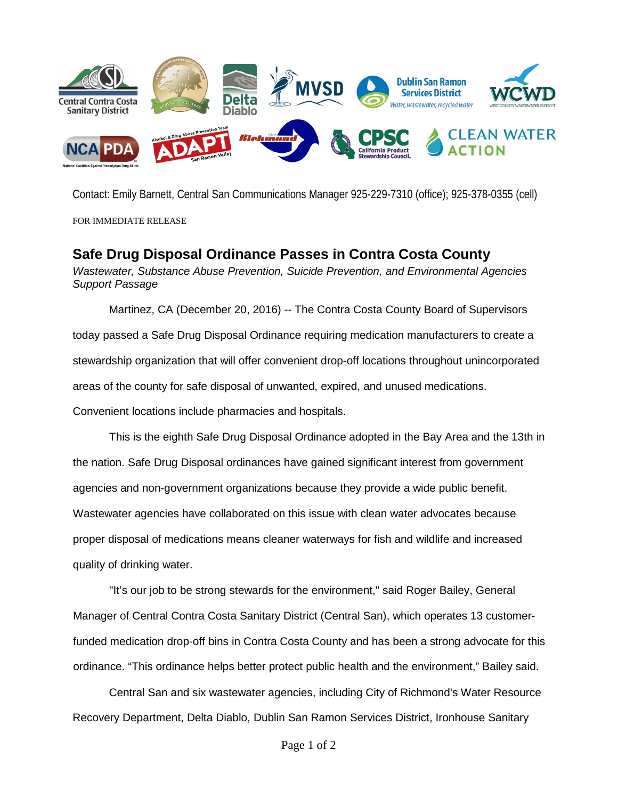

Contact: Emily Barnett, Central San Communications Manager 925-229-7310 (office); 925-378-0355 (cell)

FOR IMMEDIATE RELEASE

## **Safe Drug Disposal Ordinance Passes in Contra Costa County**

*Wastewater, Substance Abuse Prevention, Suicide Prevention, and Environmental Agencies Support Passage*

Martinez, CA (December 20, 2016) -- The Contra Costa County Board of Supervisors today passed a Safe Drug Disposal Ordinance requiring medication manufacturers to create a stewardship organization that will offer convenient drop-off locations throughout unincorporated areas of the county for safe disposal of unwanted, expired, and unused medications. Convenient locations include pharmacies and hospitals.

This is the eighth Safe Drug Disposal Ordinance adopted in the Bay Area and the 13th in the nation. Safe Drug Disposal ordinances have gained significant interest from government agencies and non-government organizations because they provide a wide public benefit. Wastewater agencies have collaborated on this issue with clean water advocates because proper disposal of medications means cleaner waterways for fish and wildlife and increased quality of drinking water.

"It's our job to be strong stewards for the environment," said Roger Bailey, General Manager of Central Contra Costa Sanitary District (Central San), which operates 13 customerfunded medication drop-off bins in Contra Costa County and has been a strong advocate for this ordinance. "This ordinance helps better protect public health and the environment," Bailey said.

Central San and six wastewater agencies, including City of Richmond's Water Resource Recovery Department, Delta Diablo, Dublin San Ramon Services District, Ironhouse Sanitary